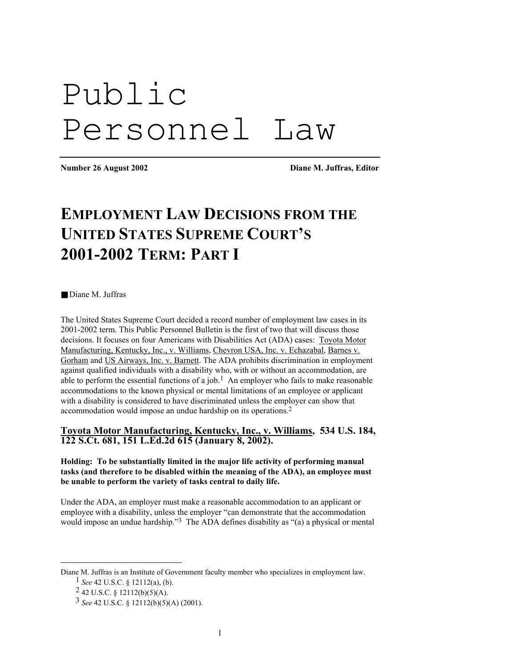# Public Personnel Law

**Number 26 August 2002 Diane M. Juffras, Editor** 

# **EMPLOYMENT LAW DECISIONS FROM THE UNITED STATES SUPREME COURT'S 2001-2002 TERM: PART I**

■ Diane M. Juffras

The United States Supreme Court decided a record number of employment law cases in its 2001-2002 term. This Public Personnel Bulletin is the first of two that will discuss those decisions. It focuses on four Americans with Disabilities Act (ADA) cases: Toyota Motor Manufacturing, Kentucky, Inc., v. Williams, Chevron USA, Inc. v. Echazabal, Barnes v. Gorham and US Airways, Inc. v. Barnett. The ADA prohibits discrimination in employment against qualified individuals with a disability who, with or without an accommodation, are able to perform the essential functions of a job.<sup>1</sup> An employer who fails to make reasonable accommodations to the known physical or mental limitations of an employee or applicant with a disability is considered to have discriminated unless the employer can show that accommodation would impose an undue hardship on its operations[.2](#page-0-1) 

**Toyota Motor Manufacturing, Kentucky, Inc., v. Williams, 534 U.S. 184, 122 S.Ct. 681, 151 L.Ed.2d 615 (January 8, 2002).** 

**Holding: To be substantially limited in the major life activity of performing manual tasks (and therefore to be disabled within the meaning of the ADA), an employee must be unable to perform the variety of tasks central to daily life.** 

Under the ADA, an employer must make a reasonable accommodation to an applicant or employee with a disability, unless the employer "can demonstrate that the accommodation would impose an undue hardship."<sup>3</sup> The ADA defines disability as "(a) a physical or mental

1

<span id="page-0-0"></span>Diane M. Juffras is an Institute of Government faculty member who specializes in employment law.

<sup>1</sup> *See* 42 U.S.C. § 12112(a), (b).

<span id="page-0-1"></span> $242$  U.S.C. § 12112(b)(5)(A).

<span id="page-0-2"></span><sup>3</sup> *See* 42 U.S.C. § 12112(b)(5)(A) (2001).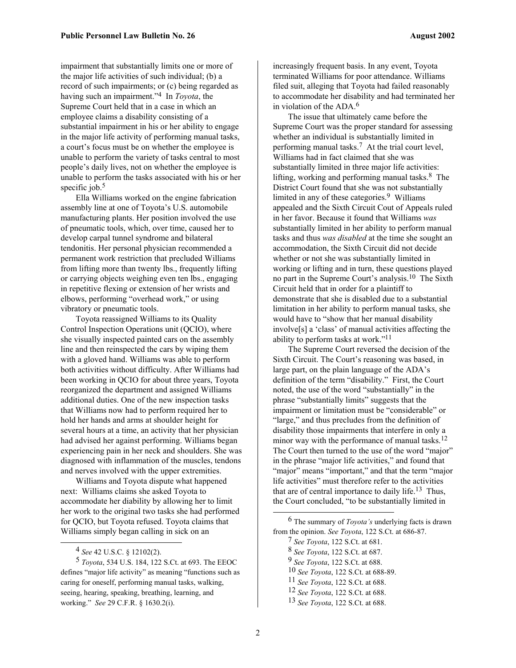impairment that substantially limits one or more of the major life activities of such individual; (b) a record of such impairments; or (c) being regarded as having such an impairment."[4](#page-1-0) In *Toyota*, the Supreme Court held that in a case in which an employee claims a disability consisting of a substantial impairment in his or her ability to engage in the major life activity of performing manual tasks, a court's focus must be on whether the employee is unable to perform the variety of tasks central to most people's daily lives, not on whether the employee is unable to perform the tasks associated with his or her specific job. $5$ 

Ella Williams worked on the engine fabrication assembly line at one of Toyota's U.S. automobile manufacturing plants. Her position involved the use of pneumatic tools, which, over time, caused her to develop carpal tunnel syndrome and bilateral tendonitis. Her personal physician recommended a permanent work restriction that precluded Williams from lifting more than twenty lbs., frequently lifting or carrying objects weighing even ten lbs., engaging in repetitive flexing or extension of her wrists and elbows, performing "overhead work," or using vibratory or pneumatic tools.

Toyota reassigned Williams to its Quality Control Inspection Operations unit (QCIO), where she visually inspected painted cars on the assembly line and then reinspected the cars by wiping them with a gloved hand. Williams was able to perform both activities without difficulty. After Williams had been working in QCIO for about three years, Toyota reorganized the department and assigned Williams additional duties. One of the new inspection tasks that Williams now had to perform required her to hold her hands and arms at shoulder height for several hours at a time, an activity that her physician had advised her against performing. Williams began experiencing pain in her neck and shoulders. She was diagnosed with inflammation of the muscles, tendons and nerves involved with the upper extremities.

Williams and Toyota dispute what happened next: Williams claims she asked Toyota to accommodate her diability by allowing her to limit her work to the original two tasks she had performed for QCIO, but Toyota refused. Toyota claims that Williams simply began calling in sick on an

1

increasingly frequent basis. In any event, Toyota terminated Williams for poor attendance. Williams filed suit, alleging that Toyota had failed reasonably to accommodate her disability and had terminated her in violation of the ADA.[6](#page-1-2)

The issue that ultimately came before the Supreme Court was the proper standard for assessing whether an individual is substantially limited in performing manual tasks.[7](#page-1-3) At the trial court level, Williams had in fact claimed that she was substantially limited in three major life activities: lifting, working and performing manual tasks. $8$  The District Court found that she was not substantially limited in any of these categories. $9$  Williams appealed and the Sixth Circuit Cout of Appeals ruled in her favor. Because it found that Williams *was* substantially limited in her ability to perform manual tasks and thus *was disabled* at the time she sought an accommodation, the Sixth Circuit did not decide whether or not she was substantially limited in working or lifting and in turn, these questions played no part in the Supreme Court's analysis. [10](#page-1-6) The Sixth Circuit held that in order for a plaintiff to demonstrate that she is disabled due to a substantial limitation in her ability to perform manual tasks, she would have to "show that her manual disability involve[s] a 'class' of manual activities affecting the ability to perform tasks at work.["11](#page-1-7) 

The Supreme Court reversed the decision of the Sixth Circuit. The Court's reasoning was based, in large part, on the plain language of the ADA's definition of the term "disability." First, the Court noted, the use of the word "substantially" in the phrase "substantially limits" suggests that the impairment or limitation must be "considerable" or "large," and thus precludes from the definition of disability those impairments that interfere in only a minor way with the performance of manual tasks.<sup>[12](#page-1-8)</sup> The Court then turned to the use of the word "major" in the phrase "major life activities," and found that "major" means "important," and that the term "major" life activities" must therefore refer to the activities that are of central importance to daily life.<sup>13</sup> Thus, the Court concluded, "to be substantially limited in

- <span id="page-1-4"></span>8 *See Toyota*, 122 S.Ct. at 687.
- <span id="page-1-5"></span>9 *See Toyota*, 122 S.Ct. at 688.

- <span id="page-1-7"></span>11 *See Toyota*, 122 S.Ct. at 688.
- <span id="page-1-8"></span>12 *See Toyota*, 122 S.Ct. at 688.
- <span id="page-1-9"></span>13 *See Toyota*, 122 S.Ct. at 688.

<span id="page-1-1"></span><span id="page-1-0"></span><sup>4</sup> *See* 42 U.S.C. § 12102(2).

<sup>5</sup> *Toyota*, 534 U.S. 184, 122 S.Ct. at 693. The EEOC defines "major life activity" as meaning "functions such as caring for oneself, performing manual tasks, walking, seeing, hearing, speaking, breathing, learning, and working." *See* 29 C.F.R. § 1630.2(i).

<span id="page-1-2"></span><sup>6</sup> The summary of *Toyota's* underlying facts is drawn from the opinion. *See Toyota*, 122 S.Ct. at 686-87.

<span id="page-1-3"></span><sup>7</sup> *See Toyota*, 122 S.Ct. at 681.

<span id="page-1-6"></span><sup>10</sup> *See Toyota*, 122 S.Ct. at 688-89.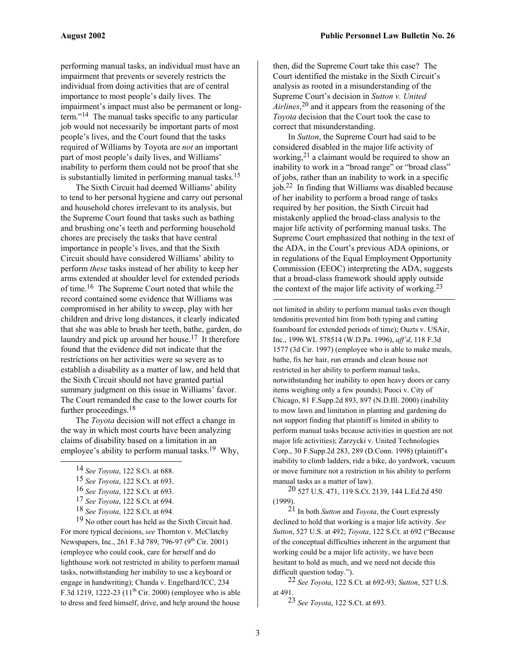performing manual tasks, an individual must have an impairment that prevents or severely restricts the individual from doing activities that are of central importance to most people's daily lives. The impairment's impact must also be permanent or longterm.["14](#page-2-0) The manual tasks specific to any particular job would not necessarily be important parts of most people's lives, and the Court found that the tasks required of Williams by Toyota are *not* an important part of most people's daily lives, and Williams' inability to perform them could not be proof that she is substantially limited in performing manual tasks.<sup>15</sup>

The Sixth Circuit had deemed Williams' ability to tend to her personal hygiene and carry out personal and household chores irrelevant to its analysis, but the Supreme Court found that tasks such as bathing and brushing one's teeth and performing household chores are precisely the tasks that have central importance in people's lives, and that the Sixth Circuit should have considered Williams' ability to perform *these* tasks instead of her ability to keep her arms extended at shoulder level for extended periods of time[.16](#page-2-2) The Supreme Court noted that while the record contained some evidence that Williams was compromised in her ability to sweep, play with her children and drive long distances, it clearly indicated that she was able to brush her teeth, bathe, garden, do laundry and pick up around her house.<sup>17</sup> It therefore found that the evidence did not indicate that the restrictions on her activities were so severe as to establish a disability as a matter of law, and held that the Sixth Circuit should not have granted partial summary judgment on this issue in Williams' favor. The Court remanded the case to the lower courts for further proceedings.<sup>[18](#page-2-4)</sup>

The *Toyota* decision will not effect a change in the way in which most courts have been analyzing claims of disability based on a limitation in an employee's ability to perform manual tasks.<sup>19</sup> Why,

<span id="page-2-0"></span>14 *See Toyota*, 122 S.Ct. at 688.

 $\overline{a}$ 

19 No other court has held as the Sixth Circuit had. For more typical decisions, *see* Thornton v. McClatchy Newspapers, Inc., 261 F.3d 789, 796-97 (9<sup>th</sup> Cir. 2001) (employee who could cook, care for herself and do lighthouse work not restricted in ability to perform manual tasks, notwithstanding her inability to use a keyboard or engage in handwriting); Chanda v. Engelhard/ICC, 234 F.3d 1219, 1222-23 ( $11^{th}$  Cir. 2000) (employee who is able to dress and feed himself, drive, and help around the house

then, did the Supreme Court take this case? The Court identified the mistake in the Sixth Circuit's analysis as rooted in a misunderstanding of the Supreme Court's decision in *Sutton v. United Airlines*, [20](#page-2-6) and it appears from the reasoning of the *Toyota* decision that the Court took the case to correct that misunderstanding.

In *Sutton*, the Supreme Court had said to be considered disabled in the major life activity of working,  $2<sup>1</sup>$  a claimant would be required to show an inability to work in a "broad range" or "broad class" of jobs, rather than an inability to work in a specific job.[22](#page-2-8) In finding that Williams was disabled because of her inability to perform a broad range of tasks required by her position, the Sixth Circuit had mistakenly applied the broad-class analysis to the major life activity of performing manual tasks. The Supreme Court emphasized that nothing in the text of the ADA, in the Court's previous ADA opinions, or in regulations of the Equal Employment Opportunity Commission (EEOC) interpreting the ADA, suggests that a broad-class framework should apply outside the context of the major life activity of working.<sup>23</sup>

not limited in ability to perform manual tasks even though tendonitis prevented him from both typing and cutting foamboard for extended periods of time); Ouzts v. USAir, Inc., 1996 WL 578514 (W.D.Pa. 1996), *aff'd*, 118 F.3d 1577 (3d Cir. 1997) (employee who is able to make meals, bathe, fix her hair, run errands and clean house not restricted in her ability to perform manual tasks, notwithstanding her inability to open heavy doors or carry items weighing only a few pounds); Puoci v. City of Chicago, 81 F.Supp.2d 893, 897 (N.D.Ill. 2000) (inability to mow lawn and limitation in planting and gardening do not support finding that plaintiff is limited in ability to perform manual tasks because activities in question are not major life activities); Zarzycki v. United Technologies Corp., 30 F.Supp.2d 283, 289 (D.Conn. 1998) (plaintiff's inability to climb ladders, ride a bike, do yardwork, vacuum or move furniture not a restriction in his ability to perform manual tasks as a matter of law).

<span id="page-2-6"></span>20 527 U.S. 471, 119 S.Ct. 2139, 144 L.Ed.2d 450 (1999).

<span id="page-2-7"></span>21 In both *Sutton* and *Toyota*, the Court expressly declined to hold that working is a major life activity. *See Sutton*, 527 U.S. at 492; *Toyota*, 122 S.Ct. at 692 ("Because of the conceptual difficulties inherent in the argument that working could be a major life activity, we have been hesitant to hold as much, and we need not decide this difficult question today.").

22 *See Toyota*, 122 S.Ct. at 692-93; *Sutton*, 527 U.S. at 491.

<span id="page-2-9"></span><span id="page-2-8"></span>23 *See Toyota*, 122 S.Ct. at 693.

<span id="page-2-1"></span><sup>15</sup> *See Toyota*, 122 S.Ct. at 693.

<span id="page-2-2"></span><sup>16</sup> *See Toyota*, 122 S.Ct. at 693.

<span id="page-2-3"></span><sup>17</sup> *See Toyota*, 122 S.Ct. at 694.

<span id="page-2-5"></span><span id="page-2-4"></span><sup>18</sup> *See Toyota*, 122 S.Ct. at 694.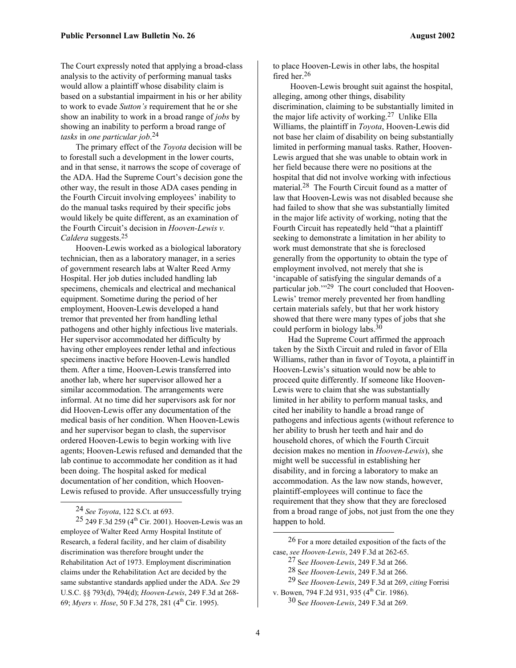The Court expressly noted that applying a broad-class analysis to the activity of performing manual tasks would allow a plaintiff whose disability claim is based on a substantial impairment in his or her ability to work to evade *Sutton's* requirement that he or she show an inability to work in a broad range of *jobs* by showing an inability to perform a broad range of *tasks* in *one particular job*. [24](#page-3-0) 

The primary effect of the *Toyota* decision will be to forestall such a development in the lower courts, and in that sense, it narrows the scope of coverage of the ADA. Had the Supreme Court's decision gone the other way, the result in those ADA cases pending in the Fourth Circuit involving employees' inability to do the manual tasks required by their specific jobs would likely be quite different, as an examination of the Fourth Circuit's decision in *Hooven-Lewis v. Caldera* suggests.[25](#page-3-1) 

Hooven-Lewis worked as a biological laboratory technician, then as a laboratory manager, in a series of government research labs at Walter Reed Army Hospital. Her job duties included handling lab specimens, chemicals and electrical and mechanical equipment. Sometime during the period of her employment, Hooven-Lewis developed a hand tremor that prevented her from handling lethal pathogens and other highly infectious live materials. Her supervisor accommodated her difficulty by having other employees render lethal and infectious specimens inactive before Hooven-Lewis handled them. After a time, Hooven-Lewis transferred into another lab, where her supervisor allowed her a similar accommodation. The arrangements were informal. At no time did her supervisors ask for nor did Hooven-Lewis offer any documentation of the medical basis of her condition. When Hooven-Lewis and her supervisor began to clash, the supervisor ordered Hooven-Lewis to begin working with live agents; Hooven-Lewis refused and demanded that the lab continue to accommodate her condition as it had been doing. The hospital asked for medical documentation of her condition, which Hooven-Lewis refused to provide. After unsuccessfully trying

 $\overline{a}$ 

to place Hooven-Lewis in other labs, the hospital fired her.[26](#page-3-2)

 Hooven-Lewis brought suit against the hospital, alleging, among other things, disability discrimination, claiming to be substantially limited in the major life activity of working. [27](#page-3-3) Unlike Ella Williams, the plaintiff in *Toyota*, Hooven-Lewis did not base her claim of disability on being substantially limited in performing manual tasks. Rather, Hooven-Lewis argued that she was unable to obtain work in her field because there were no positions at the hospital that did not involve working with infectious material. [28](#page-3-4) The Fourth Circuit found as a matter of law that Hooven-Lewis was not disabled because she had failed to show that she was substantially limited in the major life activity of working, noting that the Fourth Circuit has repeatedly held "that a plaintiff seeking to demonstrate a limitation in her ability to work must demonstrate that she is foreclosed generally from the opportunity to obtain the type of employment involved, not merely that she is 'incapable of satisfying the singular demands of a particular job.'"[29](#page-3-5) The court concluded that Hooven-Lewis' tremor merely prevented her from handling certain materials safely, but that her work history showed that there were many types of jobs that she could perform in biology labs[.30](#page-3-6)

Had the Supreme Court affirmed the approach taken by the Sixth Circuit and ruled in favor of Ella Williams, rather than in favor of Toyota, a plaintiff in Hooven-Lewis's situation would now be able to proceed quite differently. If someone like Hooven-Lewis were to claim that she was substantially limited in her ability to perform manual tasks, and cited her inability to handle a broad range of pathogens and infectious agents (without reference to her ability to brush her teeth and hair and do household chores, of which the Fourth Circuit decision makes no mention in *Hooven-Lewis*), she might well be successful in establishing her disability, and in forcing a laboratory to make an accommodation. As the law now stands, however, plaintiff-employees will continue to face the requirement that they show that they are foreclosed from a broad range of jobs, not just from the one they happen to hold.

1

<span id="page-3-1"></span><span id="page-3-0"></span><sup>24</sup> *See Toyota*, 122 S.Ct. at 693.

 $25$  249 F.3d 259 (4<sup>th</sup> Cir. 2001). Hooven-Lewis was an employee of Walter Reed Army Hospital Institute of Research, a federal facility, and her claim of disability discrimination was therefore brought under the Rehabilitation Act of 1973. Employment discrimination claims under the Rehabilitation Act are decided by the same substantive standards applied under the ADA. *See* 29 U.S.C. §§ 793(d), 794(d); *Hooven-Lewis*, 249 F.3d at 268- 69; *Myers v. Hose*, 50 F.3d 278, 281 (4th Cir. 1995).

<sup>26</sup> For a more detailed exposition of the facts of the case, *see Hooven-Lewis*, 249 F.3d at 262-65.

<span id="page-3-3"></span><span id="page-3-2"></span><sup>27</sup> S*ee Hooven-Lewis*, 249 F.3d at 266.

<span id="page-3-4"></span><sup>28</sup> S*ee Hooven-Lewis*, 249 F.3d at 266.

<span id="page-3-5"></span><sup>29</sup> S*ee Hooven-Lewis*, 249 F.3d at 269, *citing* Forrisi

v. Bowen, 794 F.2d 931, 935  $(4<sup>th</sup>$  Cir. 1986).

<span id="page-3-6"></span><sup>30</sup> S*ee Hooven-Lewis*, 249 F.3d at 269.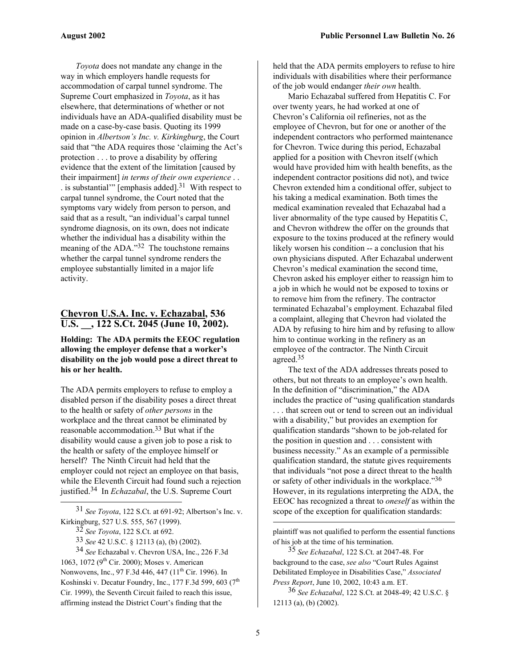*Toyota* does not mandate any change in the way in which employers handle requests for accommodation of carpal tunnel syndrome. The Supreme Court emphasized in *Toyota*, as it has elsewhere, that determinations of whether or not individuals have an ADA-qualified disability must be made on a case-by-case basis. Quoting its 1999 opinion in *Albertson's Inc. v. Kirkingburg*, the Court said that "the ADA requires those 'claiming the Act's protection . . . to prove a disability by offering evidence that the extent of the limitation [caused by their impairment] *in terms of their own experience* . . . is substantial'" [emphasis added]. [31](#page-4-0) With respect to carpal tunnel syndrome, the Court noted that the symptoms vary widely from person to person, and said that as a result, "an individual's carpal tunnel syndrome diagnosis, on its own, does not indicate whether the individual has a disability within the meaning of the ADA.["32](#page-4-1) The touchstone remains whether the carpal tunnel syndrome renders the employee substantially limited in a major life activity.

## **Chevron U.S.A. Inc. v. Echazabal, 536 U.S. \_\_, 122 S.Ct. 2045 (June 10, 2002).**

**Holding: The ADA permits the EEOC regulation allowing the employer defense that a worker's disability on the job would pose a direct threat to his or her health.** 

The ADA permits employers to refuse to employ a disabled person if the disability poses a direct threat to the health or safety of *other persons* in the workplace and the threat cannot be eliminated by reasonable accommodation.[33](#page-4-2) But what if the disability would cause a given job to pose a risk to the health or safety of the employee himself or herself? The Ninth Circuit had held that the employer could not reject an employee on that basis, while the Eleventh Circuit had found such a rejection justified. [34](#page-4-3) In *Echazabal*, the U.S. Supreme Court

1

34 *See* Echazabal v. Chevron USA, Inc., 226 F.3d 1063, 1072 ( $9^{th}$  Cir. 2000); Moses v. American Nonwovens, Inc., 97 F.3d 446, 447 (11<sup>th</sup> Cir. 1996). In Koshinski v. Decatur Foundry, Inc., 177 F.3d 599, 603 ( $7<sup>th</sup>$ Cir. 1999), the Seventh Circuit failed to reach this issue, affirming instead the District Court's finding that the

held that the ADA permits employers to refuse to hire individuals with disabilities where their performance of the job would endanger *their own* health.

Mario Echazabal suffered from Hepatitis C. For over twenty years, he had worked at one of Chevron's California oil refineries, not as the employee of Chevron, but for one or another of the independent contractors who performed maintenance for Chevron. Twice during this period, Echazabal applied for a position with Chevron itself (which would have provided him with health benefits, as the independent contractor positions did not), and twice Chevron extended him a conditional offer, subject to his taking a medical examination. Both times the medical examination revealed that Echazabal had a liver abnormality of the type caused by Hepatitis C, and Chevron withdrew the offer on the grounds that exposure to the toxins produced at the refinery would likely worsen his condition -- a conclusion that his own physicians disputed. After Echazabal underwent Chevron's medical examination the second time, Chevron asked his employer either to reassign him to a job in which he would not be exposed to toxins or to remove him from the refinery. The contractor terminated Echazabal's employment. Echazabal filed a complaint, alleging that Chevron had violated the ADA by refusing to hire him and by refusing to allow him to continue working in the refinery as an employee of the contractor. The Ninth Circuit agreed.[35](#page-4-4)

The text of the ADA addresses threats posed to others, but not threats to an employee's own health. In the definition of "discrimination," the ADA includes the practice of "using qualification standards . . . that screen out or tend to screen out an individual with a disability," but provides an exemption for qualification standards "shown to be job-related for the position in question and . . . consistent with business necessity." As an example of a permissible qualification standard, the statute gives requirements that individuals "not pose a direct threat to the health or safety of other individuals in the workplace.["36](#page-4-5)  However, in its regulations interpreting the ADA, the EEOC has recognized a threat to *oneself* as within the scope of the exception for qualification standards:

plaintiff was not qualified to perform the essential functions of his job at the time of his termination.

<span id="page-4-4"></span>35 *See Echazabal*, 122 S.Ct. at 2047-48. For background to the case, *see also* "Court Rules Against Debilitated Employee in Disabilities Case," *Associated Press Report*, June 10, 2002, 10:43 a.m. ET.

<span id="page-4-5"></span>36 *See Echazabal*, 122 S.Ct. at 2048-49; 42 U.S.C. § 12113 (a), (b) (2002).

<sup>31</sup> *See Toyota*, 122 S.Ct. at 691-92; Albertson's Inc. v. Kirkingburg, 527 U.S. 555, 567 (1999).

<span id="page-4-1"></span><span id="page-4-0"></span><sup>32</sup> *See Toyota*, 122 S.Ct. at 692.

<span id="page-4-3"></span><span id="page-4-2"></span><sup>33</sup> *See* 42 U.S.C. § 12113 (a), (b) (2002).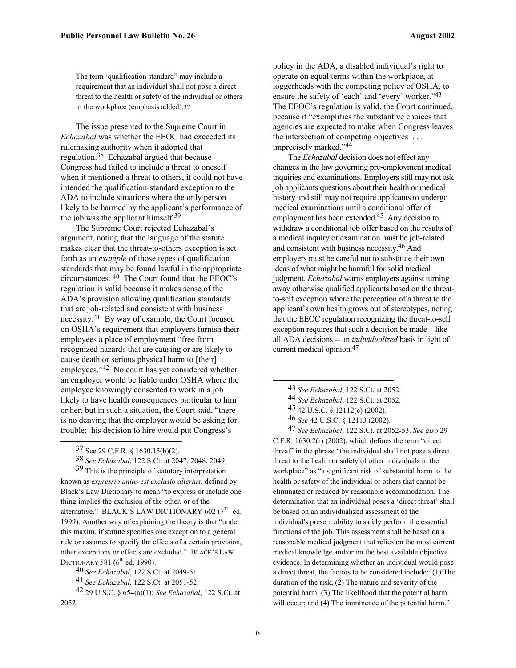The term 'qualification standard" may include a requirement that an individual shall not pose a direct threat to the health or safety of the individual or others in the workplace (emphasis added)[.37](#page-5-0)

The issue presented to the Supreme Court in *Echazabal* was whether the EEOC had exceeded its rulemaking authority when it adopted that regulation[.38](#page-5-1) Echazabal argued that because Congress had failed to include a threat to oneself when it mentioned a threat to others, it could not have intended the qualification-standard exception to the ADA to include situations where the only person likely to be harmed by the applicant's performance of the job was the applicant himself.<sup>[39](#page-5-2)</sup>

The Supreme Court rejected Echazabal's argument, noting that the language of the statute makes clear that the threat-to-others exception is set forth as an *example* of those types of qualification standards that may be found lawful in the appropriate circumstances. [40](#page-5-3) The Court found that the EEOC's regulation is valid because it makes sense of the ADA's provision allowing qualification standards that are job-related and consistent with business necessity.[41](#page-5-4) By way of example, the Court focused on OSHA's requirement that employers furnish their employees a place of employment "free from recognized hazards that are causing or are likely to cause death or serious physical harm to [their] employees."[42](#page-5-5) No court has yet considered whether an employer would be liable under OSHA where the employee knowingly consented to work in a job likely to have health consequences particular to him or her, but in such a situation, the Court said, "there is no denying that the employer would be asking for trouble: his decision to hire would put Congress's

1

<span id="page-5-2"></span><span id="page-5-1"></span>38 *See Echazabal*, 122 S.Ct. at 2047, 2048, 2049.

39 This is the principle of statutory interpretation known as *expressio unius est exclusio alterius*, defined by Black's Law Dictionary to mean "to express or include one thing implies the exclusion of the other, or of the alternative." BLACK'S LAW DICTIONARY 602 ( $7<sup>TH</sup>$  ed. 1999). Another way of explaining the theory is that "under this maxim, if statute specifies one exception to a general rule or assumes to specify the effects of a certain provision, other exceptions or effects are excluded." BLACK'S LAW DICTIONARY 581 (6<sup>th</sup> ed. 1990).

policy in the ADA, a disabled individual's right to operate on equal terms within the workplace, at loggerheads with the competing policy of OSHA, to ensure the safety of 'each' and 'every' worker."<sup>43</sup> The EEOC's regulation is valid, the Court continued, because it "exemplifies the substantive choices that agencies are expected to make when Congress leaves the intersection of competing objectives . . . imprecisely marked."[44](#page-5-7)

The *Echazabal* decision does not effect any changes in the law governing pre-employment medical inquiries and examinations. Employers still may not ask job applicants questions about their health or medical history and still may not require applicants to undergo medical examinations until a conditional offer of employment has been extended.<sup>45</sup> Any decision to withdraw a conditional job offer based on the results of a medical inquiry or examination must be job-related and consistent with business necessity. [46](#page-5-9) And employers must be careful not to substitute their own ideas of what might be harmful for solid medical judgment. *Echazabal* warns employers against turning away otherwise qualified applicants based on the threatto-self exception where the perception of a threat to the applicant's own health grows out of stereotypes, noting that the EEOC regulation recognizing the threat-to-self exception requires that such a decision be made – like all ADA decisions -- an *individualized* basis in light of current medical opinion[.47](#page-5-10) 

- <span id="page-5-6"></span>43 *See Echazabal*, 122 S.Ct. at 2052.
- <span id="page-5-7"></span>44 *See Echazabal*, 122 S.Ct. at 2052.
- <span id="page-5-8"></span>45 42 U.S.C. § 12112(c) (2002).
- <span id="page-5-10"></span><span id="page-5-9"></span>46 *See* 42 U.S.C. § 12113 (2002).

47 *See Echazabal*, 122 S.Ct. at 2052-53. *See also* 29 C.F.R. 1630.2(r) (2002), which defines the term "direct threat" in the phrase "the individual shall not pose a direct threat to the health or safety of other individuals in the workplace" as "a significant risk of substantial harm to the health or safety of the individual or others that cannot be eliminated or reduced by reasonable accommodation. The determination that an individual poses a 'direct threat' shall be based on an individualized assessment of the individual's present ability to safely perform the essential functions of the job. This assessment shall be based on a reasonable medical judgment that relies on the most current medical knowledge and/or on the best available objective evidence. In determining whether an individual would pose a direct threat, the factors to be considered include: (1) The duration of the risk; (2) The nature and severity of the potential harm; (3) The likelihood that the potential harm will occur; and (4) The imminence of the potential harm."

<span id="page-5-0"></span><sup>37</sup> See 29 C.F.R. § 1630.15(b)(2).

<span id="page-5-3"></span><sup>40</sup> *See Echazabal*, 122 S.Ct. at 2049-51.

<span id="page-5-5"></span><span id="page-5-4"></span><sup>41</sup> *See Echazabal*, 122 S.Ct. at 2051-52.

<sup>42 29</sup> U.S.C. § 654(a)(1); *See Echazabal*, 122 S.Ct. at 2052.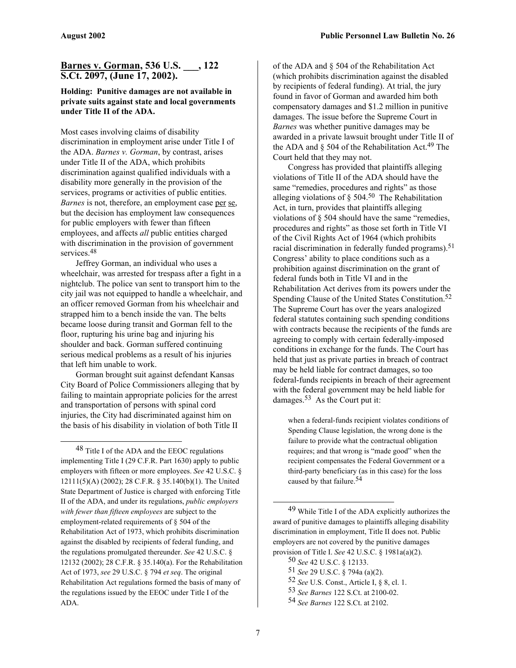### **Barnes v. Gorman, 536 U.S. \_\_\_, 122 S.Ct. 2097, (June 17, 2002).**

#### **Holding: Punitive damages are not available in private suits against state and local governments under Title II of the ADA.**

Most cases involving claims of disability discrimination in employment arise under Title I of the ADA. *Barnes v. Gorman*, by contrast, arises under Title II of the ADA, which prohibits discrimination against qualified individuals with a disability more generally in the provision of the services, programs or activities of public entities. *Barnes* is not, therefore, an employment case per se, but the decision has employment law consequences for public employers with fewer than fifteen employees, and affects *all* public entities charged with discrimination in the provision of government services.<sup>48</sup>

Jeffrey Gorman, an individual who uses a wheelchair, was arrested for trespass after a fight in a nightclub. The police van sent to transport him to the city jail was not equipped to handle a wheelchair, and an officer removed Gorman from his wheelchair and strapped him to a bench inside the van. The belts became loose during transit and Gorman fell to the floor, rupturing his urine bag and injuring his shoulder and back. Gorman suffered continuing serious medical problems as a result of his injuries that left him unable to work.

Gorman brought suit against defendant Kansas City Board of Police Commissioners alleging that by failing to maintain appropriate policies for the arrest and transportation of persons with spinal cord injuries, the City had discriminated against him on the basis of his disability in violation of both Title II

<span id="page-6-0"></span> $\overline{a}$ 

48 Title I of the ADA and the EEOC regulations implementing Title I (29 C.F.R. Part 1630) apply to public employers with fifteen or more employees. *See* 42 U.S.C. § 12111(5)(A) (2002); 28 C.F.R. § 35.140(b)(1). The United State Department of Justice is charged with enforcing Title II of the ADA, and under its regulations, *public employers with fewer than fifteen employees* are subject to the employment-related requirements of § 504 of the Rehabilitation Act of 1973, which prohibits discrimination against the disabled by recipients of federal funding, and the regulations promulgated thereunder. *See* 42 U.S.C. § 12132 (2002); 28 C.F.R. § 35.140(a). For the Rehabilitation Act of 1973, *see* 29 U.S.C. § 794 *et seq*. The original Rehabilitation Act regulations formed the basis of many of the regulations issued by the EEOC under Title I of the ADA.

of the ADA and § 504 of the Rehabilitation Act (which prohibits discrimination against the disabled by recipients of federal funding). At trial, the jury found in favor of Gorman and awarded him both compensatory damages and \$1.2 million in punitive damages. The issue before the Supreme Court in *Barnes* was whether punitive damages may be awarded in a private lawsuit brought under Title II of the ADA and  $\S$  504 of the Rehabilitation Act.<sup>49</sup> The Court held that they may not.

Congress has provided that plaintiffs alleging violations of Title II of the ADA should have the same "remedies, procedures and rights" as those alleging violations of  $\S$  504.<sup>50</sup> The Rehabilitation Act, in turn, provides that plaintiffs alleging violations of § 504 should have the same "remedies, procedures and rights" as those set forth in Title VI of the Civil Rights Act of 1964 (which prohibits racial discrimination in federally funded programs).<sup>51</sup> Congress' ability to place conditions such as a prohibition against discrimination on the grant of federal funds both in Title VI and in the Rehabilitation Act derives from its powers under the Spending Clause of the United States Constitution. [52](#page-6-4) The Supreme Court has over the years analogized federal statutes containing such spending conditions with contracts because the recipients of the funds are agreeing to comply with certain federally-imposed conditions in exchange for the funds. The Court has held that just as private parties in breach of contract may be held liable for contract damages, so too federal-funds recipients in breach of their agreement with the federal government may be held liable for damages.[53](#page-6-5) As the Court put it:

when a federal-funds recipient violates conditions of Spending Clause legislation, the wrong done is the failure to provide what the contractual obligation requires; and that wrong is "made good" when the recipient compensates the Federal Government or a third-party beneficiary (as in this case) for the loss caused by that failure.<sup>[54](#page-6-6)</sup>

<span id="page-6-2"></span>50 *See* 42 U.S.C. § 12133.

- <span id="page-6-4"></span>52 *See* U.S. Const., Article I, § 8, cl. 1.
- <span id="page-6-5"></span>53 *See Barnes* 122 S.Ct. at 2100-02.
- <span id="page-6-6"></span>54 *See Barnes* 122 S.Ct. at 2102.

<span id="page-6-1"></span><sup>49</sup> While Title I of the ADA explicitly authorizes the award of punitive damages to plaintiffs alleging disability discrimination in employment, Title II does not. Public employers are not covered by the punitive damages provision of Title I. *See* 42 U.S.C. § 1981a(a)(2).

<span id="page-6-3"></span><sup>51</sup> *See* 29 U.S.C. § 794a (a)(2).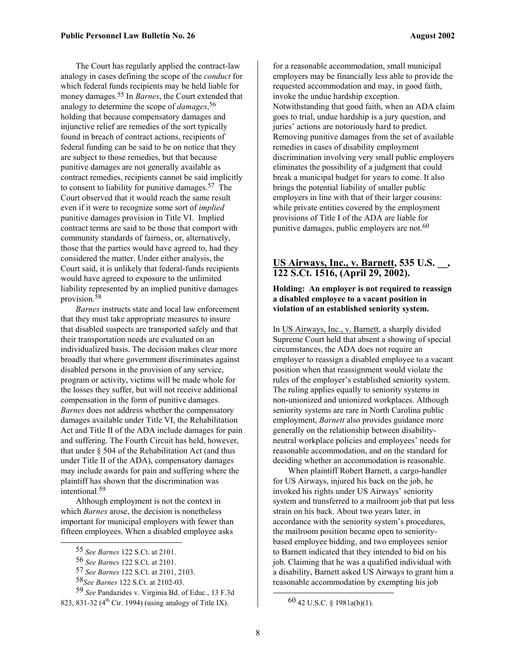The Court has regularly applied the contract-law analogy in cases defining the scope of the *conduct* for which federal funds recipients may be held liable for money damages.[55](#page-7-0) In *Barnes*, the Court extended that analogy to determine the scope of *damages*, [56](#page-7-1) holding that because compensatory damages and injunctive relief are remedies of the sort typically found in breach of contract actions, recipients of federal funding can be said to be on notice that they are subject to those remedies, but that because punitive damages are not generally available as contract remedies, recipients cannot be said implicitly to consent to liability for punitive damages[.57](#page-7-2) The Court observed that it would reach the same result even if it were to recognize some sort of *implied* punitive damages provision in Title VI. Implied contract terms are said to be those that comport with community standards of fairness, or, alternatively, those that the parties would have agreed to, had they considered the matter. Under either analysis, the Court said, it is unlikely that federal-funds recipients would have agreed to exposure to the unlimited liability represented by an implied punitive damages provision.[58](#page-7-3)

*Barnes* instructs state and local law enforcement that they must take appropriate measures to insure that disabled suspects are transported safely and that their transportation needs are evaluated on an individualized basis. The decision makes clear more broadly that where government discriminates against disabled persons in the provision of any service, program or activity, victims will be made whole for the losses they suffer, but will not receive additional compensation in the form of punitive damages. *Barnes* does not address whether the compensatory damages available under Title VI, the Rehabilitation Act and Title II of the ADA include damages for pain and suffering. The Fourth Circuit has held, however, that under § 504 of the Rehabilitation Act (and thus under Title II of the ADA), compensatory damages may include awards for pain and suffering where the plaintiff has shown that the discrimination was intentional.[59](#page-7-4) 

Although employment is not the context in which *Barnes* arose, the decision is nonetheless important for municipal employers with fewer than fifteen employees. When a disabled employee asks

for a reasonable accommodation, small municipal employers may be financially less able to provide the requested accommodation and may, in good faith, invoke the undue hardship exception. Notwithstanding that good faith, when an ADA claim goes to trial, undue hardship is a jury question, and juries' actions are notoriously hard to predict. Removing punitive damages from the set of available remedies in cases of disability employment discrimination involving very small public employers eliminates the possibility of a judgment that could break a municipal budget for years to come. It also brings the potential liability of smaller public employers in line with that of their larger cousins: while private entities covered by the employment provisions of Title I of the ADA are liable for punitive damages, public employers are not.<sup>[60](#page-7-5)</sup>

#### **US Airways, Inc., v. Barnett, 535 U.S. \_\_, 122 S.Ct. 1516, (April 29, 2002).**

#### **Holding: An employer is not required to reassign a disabled employee to a vacant position in violation of an established seniority system.**

In US Airways, Inc., v. Barnett, a sharply divided Supreme Court held that absent a showing of special circumstances, the ADA does not require an employer to reassign a disabled employee to a vacant position when that reassignment would violate the rules of the employer's established seniority system. The ruling applies equally to seniority systems in non-unionized and unionized workplaces. Although seniority systems are rare in North Carolina public employment, *Barnett* also provides guidance more generally on the relationship between disabilityneutral workplace policies and employees' needs for reasonable accommodation, and on the standard for deciding whether an accommodation is reasonable.

When plaintiff Robert Barnett, a cargo-handler for US Airways, injured his back on the job, he invoked his rights under US Airways' seniority system and transferred to a mailroom job that put less strain on his back. About two years later, in accordance with the seniority system's procedures, the mailroom position became open to senioritybased employee bidding, and two employees senior to Barnett indicated that they intended to bid on his job. Claiming that he was a qualified individual with a disability, Barnett asked US Airways to grant him a reasonable accommodation by exempting his job

<span id="page-7-0"></span> <sup>55</sup> *See Barnes* 122 S.Ct. at 2101.

<span id="page-7-1"></span><sup>56</sup> *See Barnes* 122 S.Ct. at 2101.

<span id="page-7-2"></span><sup>57</sup> *See Barnes* 122 S.Ct. at 2101, 2103.

<span id="page-7-4"></span><span id="page-7-3"></span><sup>58</sup>*See Barnes* 122 S.Ct. at 2102-03.

<sup>59</sup> *See* Pandazides v. Virginia Bd. of Educ., 13 F.3d 823, 831-32 ( $4<sup>th</sup>$  Cir. 1994) (using analogy of Title IX).

<span id="page-7-5"></span> <sup>60 42</sup> U.S.C. § 1981a(b)(1).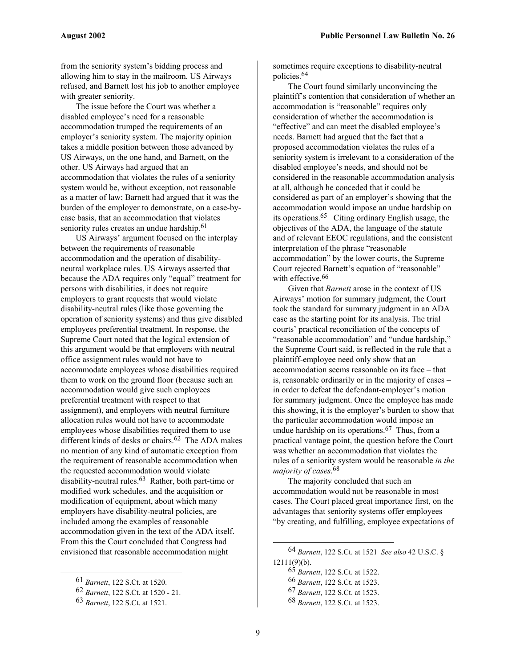from the seniority system's bidding process and allowing him to stay in the mailroom. US Airways refused, and Barnett lost his job to another employee with greater seniority.

The issue before the Court was whether a disabled employee's need for a reasonable accommodation trumped the requirements of an employer's seniority system. The majority opinion takes a middle position between those advanced by US Airways, on the one hand, and Barnett, on the other. US Airways had argued that an accommodation that violates the rules of a seniority system would be, without exception, not reasonable as a matter of law; Barnett had argued that it was the burden of the employer to demonstrate, on a case-bycase basis, that an accommodation that violates seniority rules creates an undue hardship.<sup>61</sup>

US Airways' argument focused on the interplay between the requirements of reasonable accommodation and the operation of disabilityneutral workplace rules. US Airways asserted that because the ADA requires only "equal" treatment for persons with disabilities, it does not require employers to grant requests that would violate disability-neutral rules (like those governing the operation of seniority systems) and thus give disabled employees preferential treatment. In response, the Supreme Court noted that the logical extension of this argument would be that employers with neutral office assignment rules would not have to accommodate employees whose disabilities required them to work on the ground floor (because such an accommodation would give such employees preferential treatment with respect to that assignment), and employers with neutral furniture allocation rules would not have to accommodate employees whose disabilities required them to use different kinds of desks or chairs.<sup>62</sup> The ADA makes no mention of any kind of automatic exception from the requirement of reasonable accommodation when the requested accommodation would violate disability-neutral rules[.63](#page-8-2) Rather, both part-time or modified work schedules, and the acquisition or modification of equipment, about which many employers have disability-neutral policies, are included among the examples of reasonable accommodation given in the text of the ADA itself. From this the Court concluded that Congress had envisioned that reasonable accommodation might

 $\overline{a}$ 

sometimes require exceptions to disability-neutral policies.[64](#page-8-3) 

The Court found similarly unconvincing the plaintiff's contention that consideration of whether an accommodation is "reasonable" requires only consideration of whether the accommodation is "effective" and can meet the disabled employee's needs. Barnett had argued that the fact that a proposed accommodation violates the rules of a seniority system is irrelevant to a consideration of the disabled employee's needs, and should not be considered in the reasonable accommodation analysis at all, although he conceded that it could be considered as part of an employer's showing that the accommodation would impose an undue hardship on its operations.[65](#page-8-4) Citing ordinary English usage, the objectives of the ADA, the language of the statute and of relevant EEOC regulations, and the consistent interpretation of the phrase "reasonable accommodation" by the lower courts, the Supreme Court rejected Barnett's equation of "reasonable" with effective.<sup>[66](#page-8-5)</sup>

Given that *Barnett* arose in the context of US Airways' motion for summary judgment, the Court took the standard for summary judgment in an ADA case as the starting point for its analysis. The trial courts' practical reconciliation of the concepts of "reasonable accommodation" and "undue hardship," the Supreme Court said, is reflected in the rule that a plaintiff-employee need only show that an accommodation seems reasonable on its face – that is, reasonable ordinarily or in the majority of cases – in order to defeat the defendant-employer's motion for summary judgment. Once the employee has made this showing, it is the employer's burden to show that the particular accommodation would impose an undue hardship on its operations.<sup>67</sup> Thus, from a practical vantage point, the question before the Court was whether an accommodation that violates the rules of a seniority system would be reasonable *in the majority of cases*. [68](#page-8-7)

The majority concluded that such an accommodation would not be reasonable in most cases. The Court placed great importance first, on the advantages that seniority systems offer employees "by creating, and fulfilling, employee expectations of

- <span id="page-8-6"></span>67 *Barnett*, 122 S.Ct. at 1523.
- <span id="page-8-7"></span>68 *Barnett*, 122 S.Ct. at 1523.

<span id="page-8-0"></span><sup>61</sup> *Barnett*, 122 S.Ct. at 1520.

<span id="page-8-1"></span><sup>62</sup> *Barnett*, 122 S.Ct. at 1520 - 21.

<span id="page-8-2"></span><sup>63</sup> *Barnett*, 122 S.Ct. at 1521.

<sup>64</sup> *Barnett*, 122 S.Ct. at 1521 *See also* 42 U.S.C. §  $12111(9)(b)$ .

<span id="page-8-4"></span><span id="page-8-3"></span><sup>65</sup> *Barnett*, 122 S.Ct. at 1522.

<span id="page-8-5"></span><sup>66</sup> *Barnett*, 122 S.Ct. at 1523.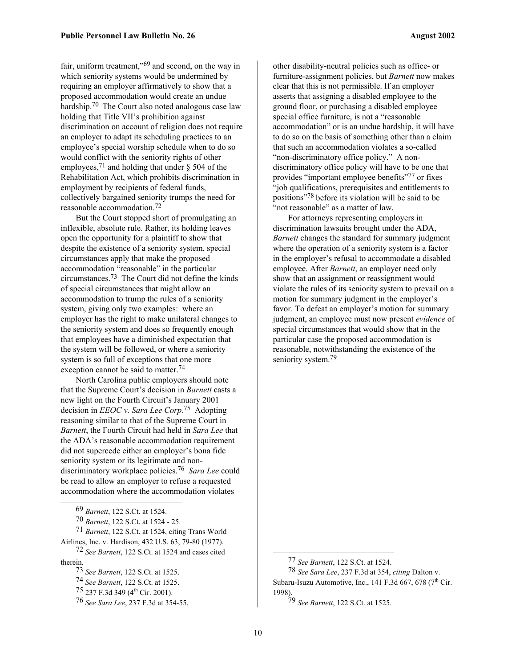fair, uniform treatment,["69](#page-9-0) and second, on the way in which seniority systems would be undermined by requiring an employer affirmatively to show that a proposed accommodation would create an undue hardship.<sup>[70](#page-9-1)</sup> The Court also noted analogous case law holding that Title VII's prohibition against discrimination on account of religion does not require an employer to adapt its scheduling practices to an employee's special worship schedule when to do so would conflict with the seniority rights of other employees,<sup>71</sup> and holding that under  $\S$  504 of the Rehabilitation Act, which prohibits discrimination in employment by recipients of federal funds, collectively bargained seniority trumps the need for reasonable accommodation.[72](#page-9-3) 

But the Court stopped short of promulgating an inflexible, absolute rule. Rather, its holding leaves open the opportunity for a plaintiff to show that despite the existence of a seniority system, special circumstances apply that make the proposed accommodation "reasonable" in the particular circumstances[.73](#page-9-4) The Court did not define the kinds of special circumstances that might allow an accommodation to trump the rules of a seniority system, giving only two examples: where an employer has the right to make unilateral changes to the seniority system and does so frequently enough that employees have a diminished expectation that the system will be followed, or where a seniority system is so full of exceptions that one more exception cannot be said to matter.<sup>74</sup>

North Carolina public employers should note that the Supreme Court's decision in *Barnett* casts a new light on the Fourth Circuit's January 2001 decision in *EEOC v. Sara Lee Corp.*[75](#page-9-6) Adopting reasoning similar to that of the Supreme Court in *Barnett*, the Fourth Circuit had held in *Sara Lee* that the ADA's reasonable accommodation requirement did not supercede either an employer's bona fide seniority system or its legitimate and nondiscriminatory workplace policies[.76](#page-9-7) *Sara Lee* could be read to allow an employer to refuse a requested accommodation where the accommodation violates

1

71 *Barnett*, 122 S.Ct. at 1524, citing Trans World Airlines, Inc. v. Hardison, 432 U.S. 63, 79-80 (1977).

72 *See Barnett*, 122 S.Ct. at 1524 and cases cited therein.

other disability-neutral policies such as office- or furniture-assignment policies, but *Barnett* now makes clear that this is not permissible. If an employer asserts that assigning a disabled employee to the ground floor, or purchasing a disabled employee special office furniture, is not a "reasonable accommodation" or is an undue hardship, it will have to do so on the basis of something other than a claim that such an accommodation violates a so-called "non-discriminatory office policy." A nondiscriminatory office policy will have to be one that provides "important employee benefits"<sup>77</sup> or fixes "job qualifications, prerequisites and entitlements to positions"[78](#page-9-9) before its violation will be said to be "not reasonable" as a matter of law.

For attorneys representing employers in discrimination lawsuits brought under the ADA, *Barnett* changes the standard for summary judgment where the operation of a seniority system is a factor in the employer's refusal to accommodate a disabled employee. After *Barnett*, an employer need only show that an assignment or reassignment would violate the rules of its seniority system to prevail on a motion for summary judgment in the employer's favor. To defeat an employer's motion for summary judgment, an employee must now present *evidence* of special circumstances that would show that in the particular case the proposed accommodation is reasonable, notwithstanding the existence of the seniority system.<sup>[79](#page-9-10)</sup>

1

<span id="page-9-0"></span><sup>69</sup> *Barnett*, 122 S.Ct. at 1524.

<span id="page-9-2"></span><span id="page-9-1"></span><sup>70</sup> *Barnett*, 122 S.Ct. at 1524 - 25.

<span id="page-9-4"></span><span id="page-9-3"></span><sup>73</sup> *See Barnett*, 122 S.Ct. at 1525.

<span id="page-9-5"></span><sup>74</sup> *See Barnett*, 122 S.Ct. at 1525.

<span id="page-9-6"></span><sup>75 237</sup> F.3d 349 (4<sup>th</sup> Cir. 2001).

<span id="page-9-7"></span><sup>76</sup> *See Sara Lee*, 237 F.3d at 354-55.

<span id="page-9-9"></span><span id="page-9-8"></span><sup>77</sup> *See Barnett*, 122 S.Ct. at 1524.

<sup>78</sup> *See Sara Lee*, 237 F.3d at 354, *citing* Dalton v. Subaru-Isuzu Automotive, Inc., 141 F.3d  $667$ , 678 (7<sup>th</sup> Cir. 1998).

<span id="page-9-10"></span><sup>79</sup> *See Barnett*, 122 S.Ct. at 1525.